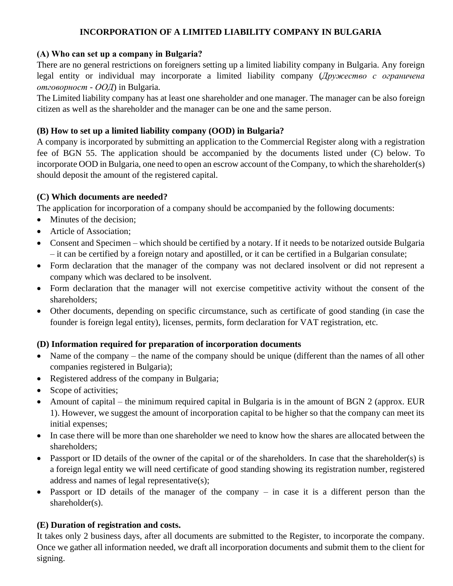# **INCORPORATION OF A LIMITED LIABILITY COMPANY IN BULGARIA**

### **(А) Who can set up a company in Bulgaria?**

There are no general restrictions on foreigners setting up a limited liability company in Bulgaria. Any foreign legal entity or individual may incorporate a limited liability company (*Дружество с ограничена отговорност - ООД*) in Bulgaria.

The Limited liability company has at least one shareholder and one manager. The manager can be also foreign citizen as well as the shareholder and the manager can be one and the same person.

### **(B) How to set up a limited liability company (OOD) in Bulgaria?**

A company is incorporated by submitting an application to the Commercial Register along with a registration fee of BGN 55. The application should be accompanied by the documents listed under (C) below. To incorporate OOD in Bulgaria, one need to open an escrow account of the Company, to which the shareholder(s) should deposit the amount of the registered capital.

## **(C) Which documents are needed?**

The application for incorporation of a company should be accompanied by the following documents:

- Minutes of the decision:
- Article of Association:
- Consent and Specimen which should be certified by a notary. If it needs to be notarized outside Bulgaria – it can be certified by a foreign notary and apostilled, or it can be certified in a Bulgarian consulate;
- Form declaration that the manager of the company was not declared insolvent or did not represent a company which was declared to be insolvent.
- Form declaration that the manager will not exercise competitive activity without the consent of the shareholders;
- Other documents, depending on specific circumstance, such as certificate of good standing (in case the founder is foreign legal entity), licenses, permits, form declaration for VAT registration, etc.

## **(D) Information required for preparation of incorporation documents**

- Name of the company the name of the company should be unique (different than the names of all other companies registered in Bulgaria);
- Registered address of the company in Bulgaria;
- Scope of activities;
- Amount of capital the minimum required capital in Bulgaria is in the amount of BGN 2 (approx. EUR 1). However, we suggest the amount of incorporation capital to be higher so that the company can meet its initial expenses;
- In case there will be more than one shareholder we need to know how the shares are allocated between the shareholders;
- Passport or ID details of the owner of the capital or of the shareholders. In case that the shareholder(s) is a foreign legal entity we will need certificate of good standing showing its registration number, registered address and names of legal representative(s);
- Passport or ID details of the manager of the company in case it is a different person than the shareholder(s).

#### **(E) Duration of registration and costs.**

It takes only 2 business days, after all documents are submitted to the Register, to incorporate the company. Once we gather all information needed, we draft all incorporation documents and submit them to the client for signing.